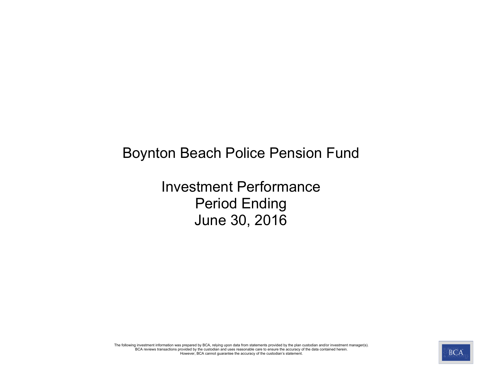# Boynton Beach Police Pension Fund

Investment Performance Period Ending June 30, 2016

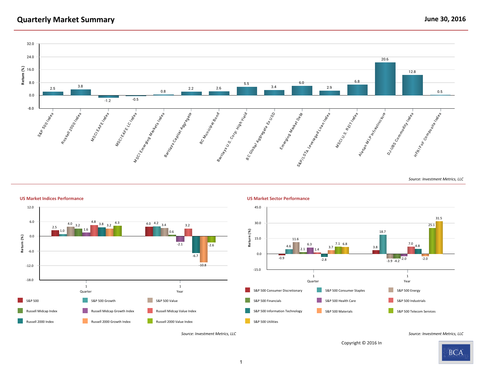# **Quarterly Market Summary June 30, 2016**



#### **US Market Indices Performance US Market Sector Performance**





Copyright @ 2016 In

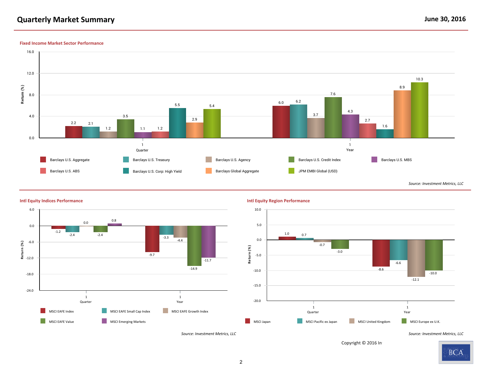# **Quarterly Market Summary June 30, 2016**

#### **Fixed Income Market Sector Performance**





#### **Intl Equity Indices Performance Intl Equity Region Performance**

Copyright @ 2016 In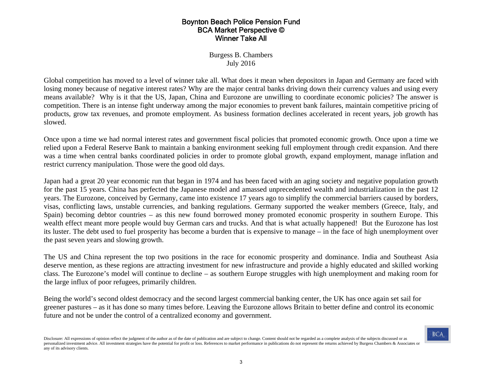#### Boynton Beach Police Pension Fund BCA Market Perspective © Winner Take All

Burgess B. Chambers July 2016

Global competition has moved to a level of winner take all. What does it mean when depositors in Japan and Germany are faced with losing money because of negative interest rates? Why are the major central banks driving down their currency values and using every means available? Why is it that the US, Japan, China and Eurozone are unwilling to coordinate economic policies? The answer is competition. There is an intense fight underway among the major economies to prevent bank failures, maintain competitive pricing of products, grow tax revenues, and promote employment. As business formation declines accelerated in recent years, job growth has slowed.

Once upon a time we had normal interest rates and government fiscal policies that promoted economic growth. Once upon a time we relied upon a Federal Reserve Bank to maintain a banking environment seeking full employment through credit expansion. And there was a time when central banks coordinated policies in order to promote global growth, expand employment, manage inflation and restrict currency manipulation. Those were the good old days.

Japan had a great 20 year economic run that began in 1974 and has been faced with an aging society and negative population growth for the past 15 years. China has perfected the Japanese model and amassed unprecedented wealth and industrialization in the past 12 years. The Eurozone, conceived by Germany, came into existence 17 years ago to simplify the commercial barriers caused by borders, visas, conflicting laws, unstable currencies, and banking regulations. Germany supported the weaker members (Greece, Italy, and Spain) becoming debtor countries – as this new found borrowed money promoted economic prosperity in southern Europe. This wealth effect meant more people would buy German cars and trucks. And that is what actually happened! But the Eurozone has lost its luster. The debt used to fuel prosperity has become a burden that is expensive to manage – in the face of high unemployment over the past seven years and slowing growth.

The US and China represent the top two positions in the race for economic prosperity and dominance. India and Southeast Asia deserve mention, as these regions are attracting investment for new infrastructure and provide a highly educated and skilled working class. The Eurozone's model will continue to decline – as southern Europe struggles with high unemployment and making room for the large influx of poor refugees, primarily children.

Being the world's second oldest democracy and the second largest commercial banking center, the UK has once again set sail for greener pastures – as it has done so many times before. Leaving the Eurozone allows Britain to better define and control its economic future and not be under the control of a centralized economy and government.

Disclosure: All expressions of opinion reflect the judgment of the author as of the date of publication and are subject to change. Content should not be regarded as a complete analysis of the subjects discussed or as personalized investment advice. All investment strategies have the potential for profit or loss. References to market performance in publications do not represent the returns achieved by Burgess Chambers & Associates or any of its advisory clients.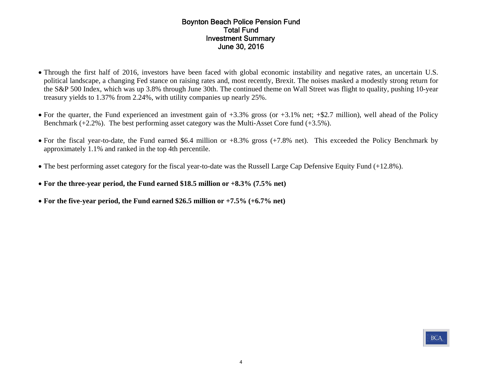#### Boynton Beach Police Pension Fund Total FundInvestment Summary June 30, 2016

- Through the first half of 2016, investors have been faced with global economic instability and negative rates, an uncertain U.S. political landscape, a changing Fed stance on raising rates and, most recently, Brexit. The noises masked a modestly strong return for the S&P 500 Index, which was up 3.8% through June 30th. The continued theme on Wall Street was flight to quality, pushing 10-year treasury yields to 1.37% from 2.24%, with utility companies up nearly 25%.
- For the quarter, the Fund experienced an investment gain of +3.3% gross (or +3.1% net; +\$2.7 million), well ahead of the Policy Benchmark  $(+2.2\%)$ . The best performing asset category was the Multi-Asset Core fund  $(+3.5\%)$ .
- For the fiscal year-to-date, the Fund earned \$6.4 million or +8.3% gross (+7.8% net). This exceeded the Policy Benchmark by approximately 1.1% and ranked in the top 4th percentile.
- The best performing asset category for the fiscal year-to-date was the Russell Large Cap Defensive Equity Fund (+12.8%).
- **For the three-year period, the Fund earned \$18.5 million or +8.3% (7.5% net)**
- **For the five-year period, the Fund earned \$26.5 million or +7.5% (+6.7% net)**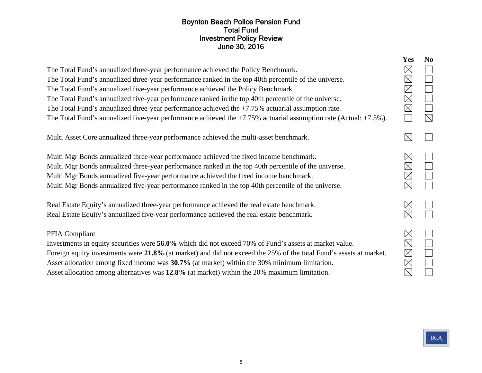#### Boynton Beach Police Pension Fund Total Fund Investment Policy Review June 30, 2016

| The Total Fund's annualized three-year performance achieved the Policy Benchmark.<br>The Total Fund's annualized three-year performance ranked in the top 40th percentile of the universe.<br>The Total Fund's annualized five-year performance achieved the Policy Benchmark.<br>The Total Fund's annualized five-year performance ranked in the top 40th percentile of the universe.<br>The Total Fund's annualized three-year performance achieved the $+7.75\%$ actuarial assumption rate.<br>The Total Fund's annualized five-year performance achieved the $+7.75\%$ actuarial assumption rate (Actual: $+7.5\%$ ). | $\underline{\textbf{Yes}}$<br>$\boxtimes$<br>$\boxtimes$<br>$\boxtimes$<br>$\boxtimes$<br>$\boxtimes$ | $\underline{\mathbf{No}}$<br>$\Box$<br>$\Box$<br>$\boxtimes$ |
|---------------------------------------------------------------------------------------------------------------------------------------------------------------------------------------------------------------------------------------------------------------------------------------------------------------------------------------------------------------------------------------------------------------------------------------------------------------------------------------------------------------------------------------------------------------------------------------------------------------------------|-------------------------------------------------------------------------------------------------------|--------------------------------------------------------------|
| Multi Asset Core annualized three-year performance achieved the multi-asset benchmark.                                                                                                                                                                                                                                                                                                                                                                                                                                                                                                                                    | $\boxtimes$                                                                                           |                                                              |
| Multi Mgr Bonds annualized three-year performance achieved the fixed income benchmark.<br>Multi Mgr Bonds annualized three-year performance ranked in the top 40th percentile of the universe.<br>Multi Mgr Bonds annualized five-year performance achieved the fixed income benchmark.<br>Multi Mgr Bonds annualized five-year performance ranked in the top 40th percentile of the universe.                                                                                                                                                                                                                            | $\boxtimes$<br>$\boxtimes$<br>$\boxtimes$<br>$\boxtimes$                                              | $\Box$                                                       |
| Real Estate Equity's annualized three-year performance achieved the real estate benchmark.<br>Real Estate Equity's annualized five-year performance achieved the real estate benchmark.                                                                                                                                                                                                                                                                                                                                                                                                                                   | $\boxtimes$<br>$\boxtimes$                                                                            |                                                              |
| PFIA Compliant<br>Investments in equity securities were 56.0% which did not exceed 70% of Fund's assets at market value.<br>Foreign equity investments were 21.8% (at market) and did not exceed the 25% of the total Fund's assets at market.<br>Asset allocation among fixed income was 30.7% (at market) within the 30% minimum limitation.<br>Asset allocation among alternatives was 12.8% (at market) within the 20% maximum limitation.                                                                                                                                                                            | $\boxtimes$<br>$\boxtimes$<br>$\boxtimes$<br>$\boxtimes$<br>$\boxtimes$                               | $\Box$                                                       |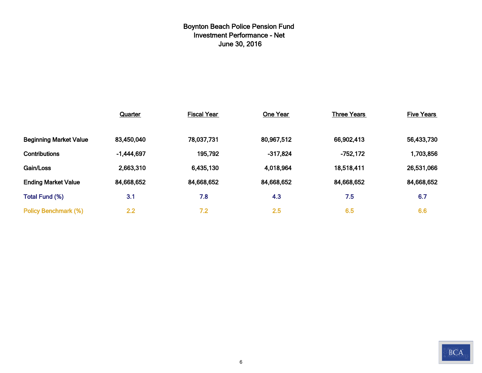# **Boynton Beach Police Pension Fund Investment Performance - Net June 30, 2016**

|                               | Quarter      | <b>Fiscal Year</b> | One Year   | <b>Three Years</b> | <b>Five Years</b> |
|-------------------------------|--------------|--------------------|------------|--------------------|-------------------|
|                               |              |                    |            |                    |                   |
| <b>Beginning Market Value</b> | 83,450,040   | 78,037,731         | 80,967,512 | 66,902,413         | 56,433,730        |
| <b>Contributions</b>          | $-1,444,697$ | 195,792            | $-317,824$ | $-752,172$         | 1,703,856         |
| Gain/Loss                     | 2,663,310    | 6,435,130          | 4,018,964  | 18,518,411         | 26,531,066        |
| <b>Ending Market Value</b>    | 84,668,652   | 84,668,652         | 84,668,652 | 84,668,652         | 84,668,652        |
| Total Fund (%)                | 3.1          | 7.8                | 4.3        | 7.5                | 6.7               |
| <b>Policy Benchmark (%)</b>   | 2.2          | 7.2                | 2.5        | 6.5                | 6.6               |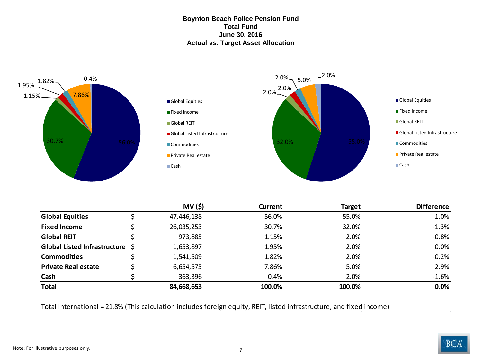#### **Boynton Beach Police Pension Fund Total Fund June 30, 2016 Actual vs. Target Asset Allocation**



|                                 | MV (\$)    | Current | Target | <b>Difference</b> |
|---------------------------------|------------|---------|--------|-------------------|
| <b>Global Equities</b>          | 47,446,138 | 56.0%   | 55.0%  | 1.0%              |
| <b>Fixed Income</b>             | 26,035,253 | 30.7%   | 32.0%  | $-1.3%$           |
| <b>Global REIT</b>              | 973,885    | 1.15%   | 2.0%   | $-0.8%$           |
| Global Listed Infrastructure \$ | 1,653,897  | 1.95%   | 2.0%   | 0.0%              |
| <b>Commodities</b>              | 1,541,509  | 1.82%   | 2.0%   | $-0.2%$           |
| <b>Private Real estate</b>      | 6,654,575  | 7.86%   | 5.0%   | 2.9%              |
| Cash                            | 363,396    | 0.4%    | 2.0%   | $-1.6%$           |
| <b>Total</b>                    | 84,668,653 | 100.0%  | 100.0% | 0.0%              |

Total International = 21.8% (This calculation includes foreign equity, REIT, listed infrastructure, and fixed income)

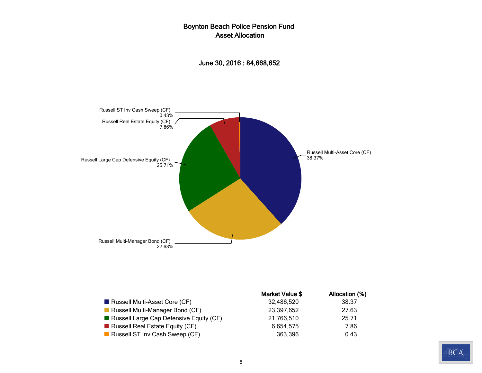### Boynton Beach Police Pension Fund Asset Allocation





|                                         | Market Value \$ | Allocation (%) |
|-----------------------------------------|-----------------|----------------|
| Russell Multi-Asset Core (CF)           | 32,486,520      | 38.37          |
| Russell Multi-Manager Bond (CF)         | 23,397,652      | 27.63          |
| Russell Large Cap Defensive Equity (CF) | 21,766,510      | 25.71          |
| Russell Real Estate Equity ( $CF$ )     | 6.654.575       | 7.86           |
| Russell ST Inv Cash Sweep (CF)          | 363,396         | 0.43           |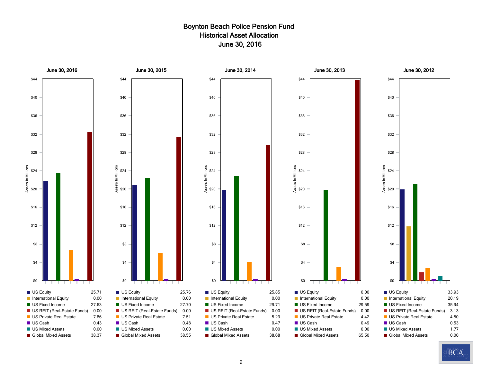### Boynton Beach Police Pension Fund Historical Asset Allocation June 30, 2016



**BCA**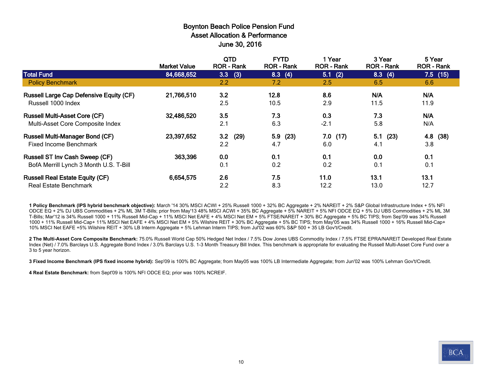#### Boynton Beach Police Pension Fund Asset Allocation & Performance June 30, 2016

|                                                                  | <b>Market Value</b> | <b>QTD</b><br><b>ROR - Rank</b> | <b>FYTD</b><br><b>ROR</b> - Rank | 1 Year<br><b>ROR - Rank</b> | 3 Year<br><b>ROR - Rank</b> | 5 Year<br><b>ROR - Rank</b> |
|------------------------------------------------------------------|---------------------|---------------------------------|----------------------------------|-----------------------------|-----------------------------|-----------------------------|
| <b>Total Fund</b>                                                | 84,668,652          | 3.3<br>(3)                      | 8.3<br>(4)                       | 5.1(2)                      | 8.3(4)                      | $7.5$ (15)                  |
| <b>Policy Benchmark</b>                                          |                     | 2.2                             | 7.2                              | 2.5                         | 6.5                         | 6.6                         |
| <b>Russell Large Cap Defensive Equity (CF)</b>                   | 21,766,510          | 3.2                             | 12.8                             | 8.6                         | N/A                         | N/A                         |
| Russell 1000 Index                                               |                     | 2.5                             | 10.5                             | 2.9                         | 11.5                        | 11.9                        |
| <b>Russell Multi-Asset Core (CF)</b>                             | 32,486,520          | 3.5                             | 7.3                              | 0.3                         | 7.3                         | N/A                         |
| Multi-Asset Core Composite Index                                 |                     | 2.1                             | 6.3                              | $-2.1$                      | 5.8                         | N/A                         |
| <b>Russell Multi-Manager Bond (CF)</b><br>Fixed Income Benchmark | 23,397,652          | (29)<br>3.2<br>2.2              | 5.9<br>(23)<br>4.7               | $7.0$ (17)<br>6.0           | 5.1<br>(23)<br>4.1          | 4.8 (38)<br>3.8             |
| <b>Russell ST Inv Cash Sweep (CF)</b>                            | 363,396             | 0.0                             | 0.1                              | 0.1                         | 0.0                         | 0.1                         |
| BofA Merrill Lynch 3 Month U.S. T-Bill                           |                     | 0.1                             | 0.2                              | 0.2                         | 0.1                         | 0.1                         |
| <b>Russell Real Estate Equity (CF)</b>                           | 6,654,575           | 2.6                             | 7.5                              | 11.0                        | 13.1                        | 13.1                        |
| <b>Real Estate Benchmark</b>                                     |                     | 2.2                             | 8.3                              | 12.2                        | 13.0                        | 12.7                        |

**1 Policy Benchmark (IPS hybrid benchmark objective):** March '14 30% MSCI ACWI + 25% Russell 1000 + 32% BC Aggregate + 2% NAREIT + 2% S&P Global Infrastructure Index + 5% NFI ODCE EQ + 2% DJ UBS Commodities + 2% ML 3M T-Bills; prior from May'13 48% MSCI ACWI + 35% BC Aggregate + 5% NAREIT + 5% NFI ODCE EQ + 5% DJ UBS Commodities + 2% ML 3M T-Bills; Mar'12 is 34% Russell 1000 + 11% Russell Mid-Cap + 11% MSCI Net EAFE + 4% MSCI Net EM + 5% FTSE/NAREIT + 30% BC Aggregate + 5% BC TIPS; from Sep'09 was 34% Russell 1000 + 11% Russell Mid-Cap+ 11% MSCI Net EAFE + 4% MSCI Net EM + 5% Wilshire REIT + 30% BC Aggregate + 5% BC TIPS; from May'05 was 34% Russell 1000 + 16% Russell Mid-Cap+ 10% MSCI Net EAFE +5% Wilshire REIT + 30% LB Interm Aggregate + 5% Lehman Interm TIPS; from Jul'02 was 60% S&P 500 + 35 LB Gov't/Credit.

**2 The Multi-Asset Core Composite Benchmark:** 75.0% Russell World Cap 50% Hedged Net Index / 7.5% Dow Jones UBS Commodity Index / 7.5% FTSE EPRA/NAREIT Developed Real Estate Index (Net) / 7.0% Barclays U.S. Aggregate Bond Index / 3.0% Barclays U.S. 1-3 Month Treasury Bill Index. This benchmark is appropriate for evaluating the Russell Multi-Asset Core Fund over a 3 to 5 year horizon.

**3 Fixed Income Benchmark (IPS fixed income hybrid):** Sep'09 is 100% BC Aggregate; from May05 was 100% LB Intermediate Aggregate; from Jun'02 was 100% Lehman Gov't/Credit.

**4 Real Estate Benchmark:** from Sept'09 is 100% NFI ODCE EQ; prior was 100% NCREIF.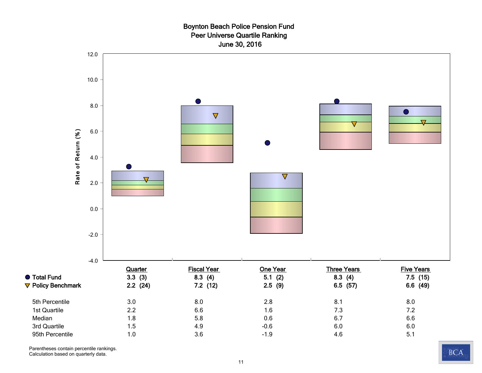#### Boynton Beach Police Pension Fund Peer Universe Quartile Ranking June 30, 2016



Parentheses contain percentile rankings.

Calculation based on quarterly data.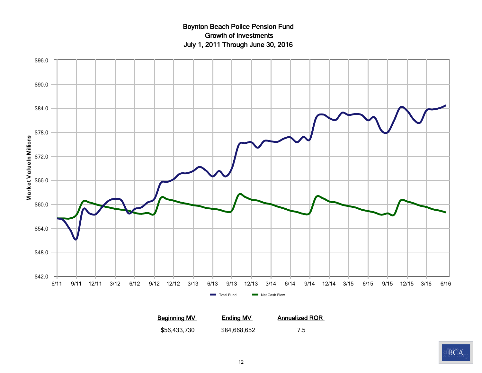# Boynton Beach Police Pension Fund Growth of Investments July 1, 2011 Through June 30, 2016



**Beginning MV Ending MV Annualized ROR** \$56,433,730 \$84,668,652 7.5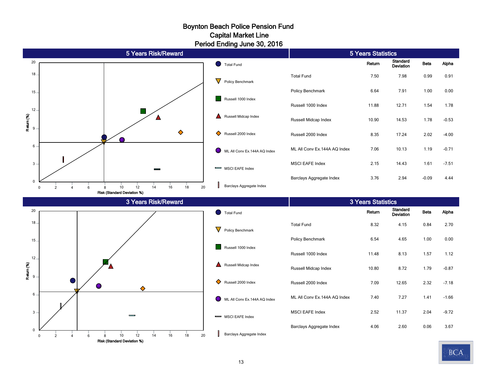#### Boynton Beach Police Pension Fund Period Ending June 30, 2016 Capital Market Line

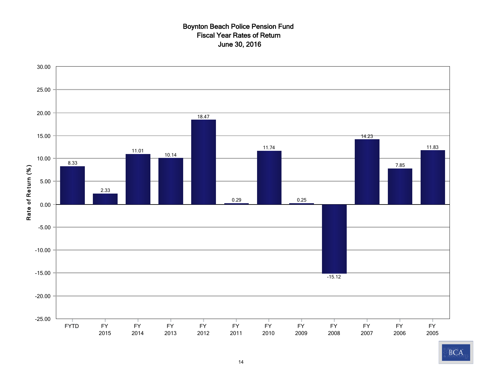### Boynton Beach Police Pension Fund Fiscal Year Rates of Return June 30, 2016

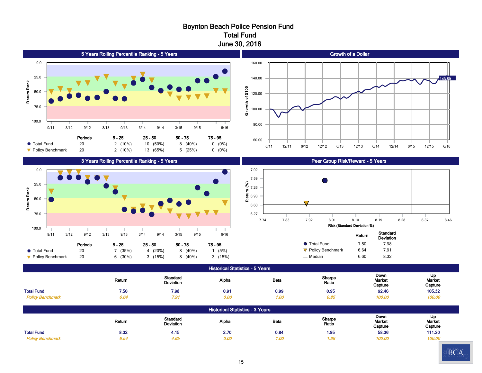#### Boynton Beach Police Pension Fund Total Fund June 30, 2016



| <b>Historical Statistics - 3 Years</b> |        |                                     |       |      |                 |                           |                                |  |
|----------------------------------------|--------|-------------------------------------|-------|------|-----------------|---------------------------|--------------------------------|--|
|                                        | Return | <b>Standard</b><br><b>Deviation</b> | Alpha | Beta | Sharpe<br>Ratio | Down<br>Market<br>Capture | Up<br><b>Market</b><br>Capture |  |
| <b>Total Fund</b>                      | 8.32   | 4.15                                | 2.70  | 0.84 | 1.95            | 58.36                     | 111.20                         |  |
| <b>Policy Benchmark</b>                | 6.54   | 4.65                                | 0.00  | 1.00 | .38             | 100.00                    | 100.00                         |  |

Total Fund 7.50 7.98 0.91 0.99 0.95 92.46 105.32  *Policy Benchmark 6.64 7.91 0.00 1.00 0.85 100.00 100.00*

90 Day U.S. Treasury Bill 0.07 0.04 0.07 0.00 N/A -0.71 0.66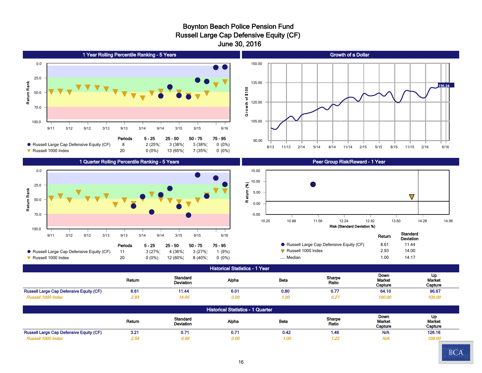#### Boynton Beach Police Pension Fund Russell Large Cap Defensive Equity (CF) June 30, 2016



#### Historical Statistics - 1 Year

|                                                | Return | <b>Standard</b><br>Deviation | Alpha | Beta | Sharpe<br>Ratio | Down<br><b>Market</b><br>Capture | Up<br>Market<br>Capture |
|------------------------------------------------|--------|------------------------------|-------|------|-----------------|----------------------------------|-------------------------|
| <b>Russell Large Cap Defensive Equity (CF)</b> | 8.61   | 11.44                        | 6.01  | 0.80 | 0.7.            | 64.10                            | 96.67                   |
|                                                | 2.93   | 14.00                        | 0.00  | , ne | 0.27            | 100.00                           | <b>100.00</b>           |

| <b>Historical Statistics - 1 Quarter</b>       |        |                              |       |             |                 |                           |                         |  |
|------------------------------------------------|--------|------------------------------|-------|-------------|-----------------|---------------------------|-------------------------|--|
|                                                | Return | Standard<br><b>Deviation</b> | Alpha | <b>Beta</b> | Sharpe<br>Ratio | Down<br>Market<br>Capture | Up<br>Market<br>Capture |  |
| <b>Russell Large Cap Defensive Equity (CF)</b> | 3.21   | 0.71                         | 0.71  | 0.42        | 1.46            | <b>N/A</b>                | 126.16                  |  |
| Russell 1000 Index                             | 2.54   | 0.66                         | 0.00  | 1.00        | 1.22            | <b>N/A</b>                | 100.00                  |  |

90 Day U.S. Treasury Bill 0.06 0.02 0.04 -0.02 N/A N/A 2.25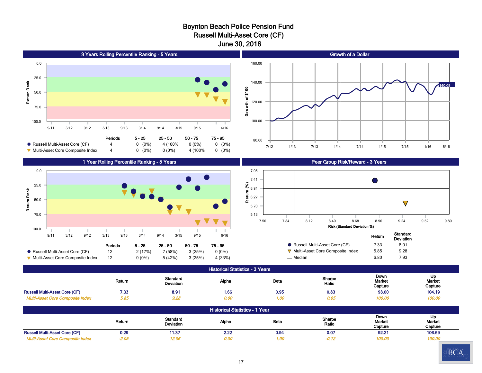#### Boynton Beach Police Pension Fund Russell Multi-Asset Core (CF) June 30, 2016



Return Standard<br>
Deviation Deviation Alpha Beta Sharpe Ratio Down Market **Capture** Up Market **Capture** Russell Multi-Asset Core (CF) a and 0.29 11.37 2.22 0.94 0.07 92.21 92.21 106.69  *Multi-Asset Core Composite Index -2.05 12.06 0.00 1.00 -0.12 100.00 100.00*

90 Day U.S. Treasury Bill 0.13 0.07 0.13 0.00 N/A -0.32 0.52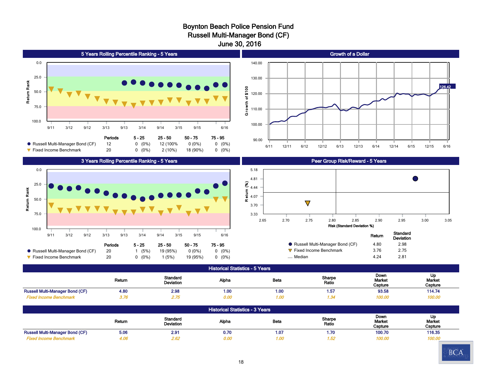#### Boynton Beach Police Pension Fund Russell Multi-Manager Bond (CF) June 30, 2016



 *Fixed Income Benchmark 4.06 2.62 0.00 1.00 1.52 100.00 100.00* 90 Day U.S. Treasury Bill 0.07 0.05 0.05 0.00 N/A -0.82 0.85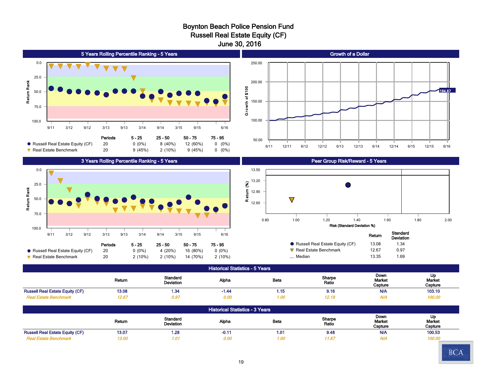#### Boynton Beach Police Pension Fund Russell Real Estate Equity (CF) June 30, 2016







|                                   | Return | Standard<br>Deviation |
|-----------------------------------|--------|-----------------------|
| • Russell Real Estate Equity (CF) | 13.08  | 1.34                  |
| $\nabla$ Real Estate Benchmark    | 12.67  | 0.97                  |
| Median                            | 13.35  | 1.69                  |

Historical Statistics - 5 Years

|                                        | Return | Standard<br>Deviation | Alpha | <b>Beta</b> | Sharpe<br>Ratio | Down<br>Market<br>Capture | Up<br>Market<br>Capture |
|----------------------------------------|--------|-----------------------|-------|-------------|-----------------|---------------------------|-------------------------|
| <b>Russell Real Estate Equity (CF)</b> | 13.08  | 1.34                  | -1.44 | 1.15        | 9.16            | <b>N/A</b>                | 103.10                  |
| Real Estate Benchmark                  | 12.6.  | 0.97                  | 0.00  | 1.OC        | 12.19           | w                         | 100.00                  |

| <b>Historical Statistics - 3 Years</b> |        |                       |        |      |                 |                           |                         |  |  |
|----------------------------------------|--------|-----------------------|--------|------|-----------------|---------------------------|-------------------------|--|--|
|                                        | Return | Standard<br>Deviation | Alpha  | Beta | Sharpe<br>Ratio | Down<br>Market<br>Capture | Up<br>Market<br>Capture |  |  |
| <b>Russell Real Estate Equity (CF)</b> | 13.07  | 1.28                  | $-0.1$ | 1.01 | 9.48            | <b>N/A</b>                | 100.53                  |  |  |
| <b>Real Estate Benchmark</b>           | 13.00  | 1.01                  | 0.00   | 1.00 | 11.87           | <b>N/A</b>                | 100.00                  |  |  |

90 Day U.S. Treasury Bill 0.07 0.04 0.39 -0.03 N/A N/A 0.54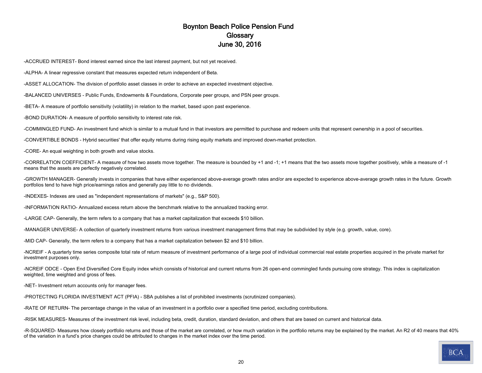#### Boynton Beach Police Pension Fund **Glossary** June 30, 2016

-ACCRUED INTEREST- Bond interest earned since the last interest payment, but not yet received.

-ALPHA- A linear regressive constant that measures expected return independent of Beta.

-ASSET ALLOCATION- The division of portfolio asset classes in order to achieve an expected investment objective.

-BALANCED UNIVERSES - Public Funds, Endowments & Foundations, Corporate peer groups, and PSN peer groups.

-BETA- A measure of portfolio sensitivity (volatility) in relation to the market, based upon past experience.

-BOND DURATION- A measure of portfolio sensitivity to interest rate risk.

-COMMINGLED FUND- An investment fund which is similar to a mutual fund in that investors are permitted to purchase and redeem units that represent ownership in a pool of securities.

-CONVERTIBLE BONDS - Hybrid securities' that offer equity returns during rising equity markets and improved down-market protection.

-CORE- An equal weighting in both growth and value stocks.

-CORRELATION COEFFICIENT- A measure of how two assets move together. The measure is bounded by +1 and -1; +1 means that the two assets move together positively, while a measure of -1 means that the assets are perfectly negatively correlated.

-GROWTH MANAGER- Generally invests in companies that have either experienced above-average growth rates and/or are expected to experience above-average growth rates in the future. Growth portfolios tend to have high price/earnings ratios and generally pay little to no dividends.

-INDEXES- Indexes are used as "independent representations of markets" (e.g., S&P 500).

-INFORMATION RATIO- Annualized excess return above the benchmark relative to the annualized tracking error.

-LARGE CAP- Generally, the term refers to a company that has a market capitalization that exceeds \$10 billion.

-MANAGER UNIVERSE- A collection of quarterly investment returns from various investment management firms that may be subdivided by style (e.g. growth, value, core).

-MID CAP- Generally, the term refers to a company that has a market capitalization between \$2 and \$10 billion.

-NCREIF - A quarterly time series composite total rate of return measure of investment performance of a large pool of individual commercial real estate properties acquired in the private market for investment purposes only.

-NCREIF ODCE - Open End Diversified Core Equity index which consists of historical and current returns from 26 open-end commingled funds pursuing core strategy. This index is capitalization weighted, time weighted and gross of fees.

-NET- Investment return accounts only for manager fees.

-PROTECTING FLORIDA INVESTMENT ACT (PFIA) - SBA publishes a list of prohibited investments (scrutinized companies).

-RATE OF RETURN- The percentage change in the value of an investment in a portfolio over a specified time period, excluding contributions.

-RISK MEASURES- Measures of the investment risk level, including beta, credit, duration, standard deviation, and others that are based on current and historical data.

-R-SQUARED- Measures how closely portfolio returns and those of the market are correlated, or how much variation in the portfolio returns may be explained by the market. An R2 of 40 means that 40% of the variation in a fund's price changes could be attributed to changes in the market index over the time period.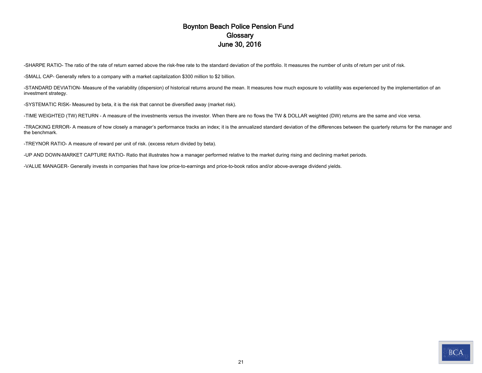#### Boynton Beach Police Pension Fund **Glossary** June 30, 2016

-SHARPE RATIO- The ratio of the rate of return earned above the risk-free rate to the standard deviation of the portfolio. It measures the number of units of return per unit of risk.

-SMALL CAP- Generally refers to a company with a market capitalization \$300 million to \$2 billion.

-STANDARD DEVIATION- Measure of the variability (dispersion) of historical returns around the mean. It measures how much exposure to volatility was experienced by the implementation of an investment strategy.

-SYSTEMATIC RISK- Measured by beta, it is the risk that cannot be diversified away (market risk).

-TIME WEIGHTED (TW) RETURN - A measure of the investments versus the investor. When there are no flows the TW & DOLLAR weighted (DW) returns are the same and vice versa.

-TRACKING ERROR- A measure of how closely a manager's performance tracks an index; it is the annualized standard deviation of the differences between the quarterly returns for the manager and the benchmark.

-TREYNOR RATIO- A measure of reward per unit of risk. (excess return divided by beta).

-UP AND DOWN-MARKET CAPTURE RATIO- Ratio that illustrates how a manager performed relative to the market during rising and declining market periods.

-VALUE MANAGER- Generally invests in companies that have low price-to-earnings and price-to-book ratios and/or above-average dividend yields.